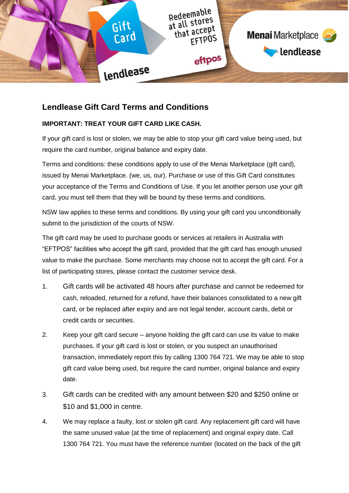

# **Lendlease Gift Card Terms and Conditions**

## **IMPORTANT: TREAT YOUR GIFT CARD LIKE CASH.**

If your gift card is lost or stolen, we may be able to stop your gift card value being used, but require the card number, original balance and expiry date.

Terms and conditions: these conditions apply to use of the Menai Marketplace (gift card), issued by Menai Marketplace. (we, us, our). Purchase or use of this Gift Card constitutes your acceptance of the Terms and Conditions of Use. If you let another person use your gift card, you must tell them that they will be bound by these terms and conditions.

NSW law applies to these terms and conditions. By using your gift card you unconditionally submit to the jurisdiction of the courts of NSW.

The gift card may be used to purchase goods or services at retailers in Australia with "EFTPOS" facilities who accept the gift card, provided that the gift card has enough unused value to make the purchase. Some merchants may choose not to accept the gift card. For a list of participating stores, please contact the customer service desk.

- 1. Gift cards will be activated 48 hours after purchase and cannot be redeemed for cash, reloaded, returned for a refund, have their balances consolidated to a new gift card, or be replaced after expiry and are not legal tender, account cards, debit or credit cards or securities.
- 2. Keep your gift card secure anyone holding the gift card can use its value to make purchases. If your gift card is lost or stolen, or you suspect an unauthorised transaction, immediately report this by calling 1300 764 721. We may be able to stop gift card value being used, but require the card number, original balance and expiry date.
- 3. Gift cards can be credited with any amount between \$20 and \$250 online or \$10 and \$1,000 in centre.
- 4. We may replace a faulty, lost or stolen gift card. Any replacement gift card will have the same unused value (at the time of replacement) and original expiry date. Call 1300 764 721. You must have the reference number (located on the back of the gift